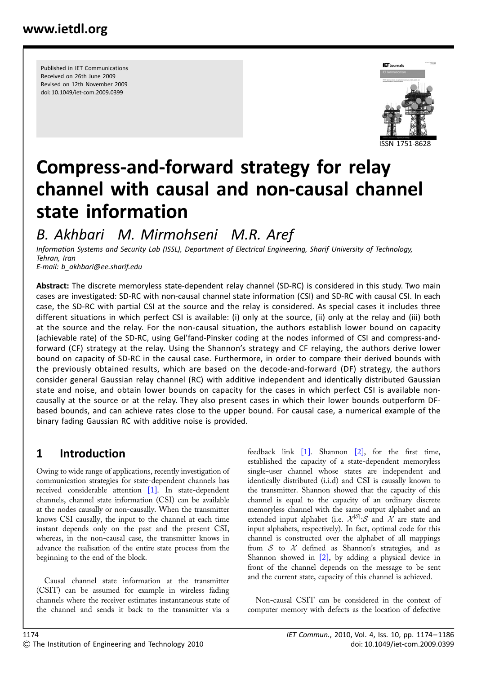Published in IET Communications Received on 26th June 2009 Revised on 12th November 2009 doi: 10.1049/iet-com.2009.0399



# Compress-and-forward strategy for relay channel with causal and non-causal channel state information

B. Akhbari M. Mirmohseni M.R. Aref

Information Systems and Security Lab (ISSL), Department of Electrical Engineering, Sharif University of Technology, Tehran, Iran

E-mail: b\_akhbari@ee.sharif.edu

Abstract: The discrete memoryless state-dependent relay channel (SD-RC) is considered in this study. Two main cases are investigated: SD-RC with non-causal channel state information (CSI) and SD-RC with causal CSI. In each case, the SD-RC with partial CSI at the source and the relay is considered. As special cases it includes three different situations in which perfect CSI is available: (i) only at the source, (ii) only at the relay and (iii) both at the source and the relay. For the non-causal situation, the authors establish lower bound on capacity (achievable rate) of the SD-RC, using Gel'fand-Pinsker coding at the nodes informed of CSI and compress-andforward (CF) strategy at the relay. Using the Shannon's strategy and CF relaying, the authors derive lower bound on capacity of SD-RC in the causal case. Furthermore, in order to compare their derived bounds with the previously obtained results, which are based on the decode-and-forward (DF) strategy, the authors consider general Gaussian relay channel (RC) with additive independent and identically distributed Gaussian state and noise, and obtain lower bounds on capacity for the cases in which perfect CSI is available noncausally at the source or at the relay. They also present cases in which their lower bounds outperform DFbased bounds, and can achieve rates close to the upper bound. For causal case, a numerical example of the binary fading Gaussian RC with additive noise is provided.

## 1 Introduction

Owing to wide range of applications, recently investigation of communication strategies for state-dependent channels has received considerable attention [1]. In state-dependent channels, channel state information (CSI) can be available at the nodes causally or non-causally. When the transmitter knows CSI causally, the input to the channel at each time instant depends only on the past and the present CSI, whereas, in the non-causal case, the transmitter knows in advance the realisation of the entire state process from the beginning to the end of the block.

Causal channel state information at the transmitter (CSIT) can be assumed for example in wireless fading channels where the receiver estimates instantaneous state of the channel and sends it back to the transmitter via a feedback link [1]. Shannon [2], for the first time, established the capacity of a state-dependent memoryless single-user channel whose states are independent and identically distributed (i.i.d) and CSI is causally known to the transmitter. Shannon showed that the capacity of this channel is equal to the capacity of an ordinary discrete memoryless channel with the same output alphabet and an extended input alphabet (i.e.  $\mathcal{X}^{|\mathcal{S}|}$ : S and  $\mathcal{X}$  are state and input alphabets, respectively). In fact, optimal code for this channel is constructed over the alphabet of all mappings from  $S$  to  $X$  defined as Shannon's strategies, and as Shannon showed in  $[2]$ , by adding a physical device in front of the channel depends on the message to be sent and the current state, capacity of this channel is achieved.

Non-causal CSIT can be considered in the context of computer memory with defects as the location of defective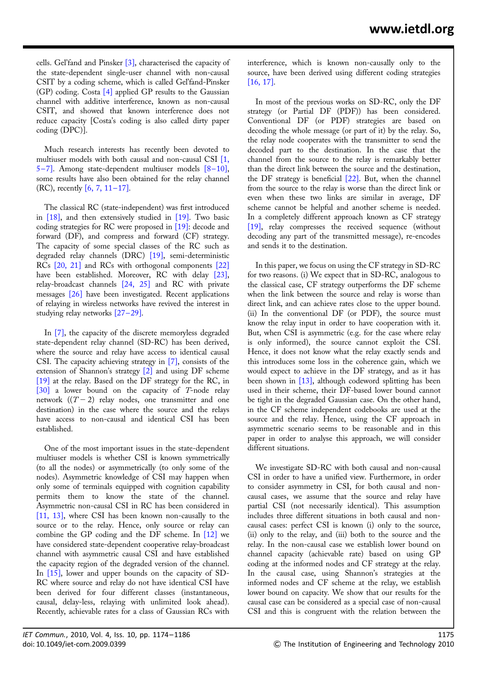cells. Gel'fand and Pinsker [3], characterised the capacity of the state-dependent single-user channel with non-causal CSIT by a coding scheme, which is called Gel'fand-Pinsker (GP) coding. Costa [4] applied GP results to the Gaussian channel with additive interference, known as non-causal CSIT, and showed that known interference does not reduce capacity [Costa's coding is also called dirty paper coding (DPC)].

Much research interests has recently been devoted to multiuser models with both causal and non-causal CSI  $[1,$ 5-7]. Among state-dependent multiuser models  $[8-10]$ , some results have also been obtained for the relay channel  $(RC)$ , recently  $[6, 7, 11-17]$ .

The classical RC (state-independent) was first introduced in [18], and then extensively studied in [19]. Two basic coding strategies for RC were proposed in [19]: decode and forward (DF), and compress and forward (CF) strategy. The capacity of some special classes of the RC such as degraded relay channels (DRC) [19], semi-deterministic RCs [20, 21] and RCs with orthogonal components [22] have been established. Moreover, RC with delay [23], relay-broadcast channels [24, 25] and RC with private messages [26] have been investigated. Recent applications of relaying in wireless networks have revived the interest in studying relay networks  $[27-29]$ .

In [7], the capacity of the discrete memoryless degraded state-dependent relay channel (SD-RC) has been derived, where the source and relay have access to identical causal CSI. The capacity achieving strategy in [7], consists of the extension of Shannon's strategy [2] and using DF scheme [19] at the relay. Based on the DF strategy for the RC, in [30] a lower bound on the capacity of T-node relay network  $((T - 2)$  relay nodes, one transmitter and one destination) in the case where the source and the relays have access to non-causal and identical CSI has been established.

One of the most important issues in the state-dependent multiuser models is whether CSI is known symmetrically (to all the nodes) or asymmetrically (to only some of the nodes). Asymmetric knowledge of CSI may happen when only some of terminals equipped with cognition capability permits them to know the state of the channel. Asymmetric non-causal CSI in RC has been considered in [11, 13], where CSI has been known non-causally to the source or to the relay. Hence, only source or relay can combine the GP coding and the DF scheme. In [12] we have considered state-dependent cooperative relay-broadcast channel with asymmetric causal CSI and have established the capacity region of the degraded version of the channel. In [15], lower and upper bounds on the capacity of SD-RC where source and relay do not have identical CSI have been derived for four different classes (instantaneous, causal, delay-less, relaying with unlimited look ahead). Recently, achievable rates for a class of Gaussian RCs with

interference, which is known non-causally only to the source, have been derived using different coding strategies [16, 17].

In most of the previous works on SD-RC, only the DF strategy (or Partial DF (PDF)) has been considered. Conventional DF (or PDF) strategies are based on decoding the whole message (or part of it) by the relay. So, the relay node cooperates with the transmitter to send the decoded part to the destination. In the case that the channel from the source to the relay is remarkably better than the direct link between the source and the destination, the DF strategy is beneficial  $[22]$ . But, when the channel from the source to the relay is worse than the direct link or even when these two links are similar in average, DF scheme cannot be helpful and another scheme is needed. In a completely different approach known as CF strategy [19], relay compresses the received sequence (without decoding any part of the transmitted message), re-encodes and sends it to the destination.

In this paper, we focus on using the CF strategy in SD-RC for two reasons. (i) We expect that in SD-RC, analogous to the classical case, CF strategy outperforms the DF scheme when the link between the source and relay is worse than direct link, and can achieve rates close to the upper bound. (ii) In the conventional DF (or PDF), the source must know the relay input in order to have cooperation with it. But, when CSI is asymmetric (e.g. for the case where relay is only informed), the source cannot exploit the CSI. Hence, it does not know what the relay exactly sends and this introduces some loss in the coherence gain, which we would expect to achieve in the DF strategy, and as it has been shown in [13], although codeword splitting has been used in their scheme, their DF-based lower bound cannot be tight in the degraded Gaussian case. On the other hand, in the CF scheme independent codebooks are used at the source and the relay. Hence, using the CF approach in asymmetric scenario seems to be reasonable and in this paper in order to analyse this approach, we will consider different situations.

We investigate SD-RC with both causal and non-causal CSI in order to have a unified view. Furthermore, in order to consider asymmetry in CSI, for both causal and noncausal cases, we assume that the source and relay have partial CSI (not necessarily identical). This assumption includes three different situations in both causal and noncausal cases: perfect CSI is known (i) only to the source, (ii) only to the relay, and (iii) both to the source and the relay. In the non-causal case we establish lower bound on channel capacity (achievable rate) based on using GP coding at the informed nodes and CF strategy at the relay. In the causal case, using Shannon's strategies at the informed nodes and CF scheme at the relay, we establish lower bound on capacity. We show that our results for the causal case can be considered as a special case of non-causal CSI and this is congruent with the relation between the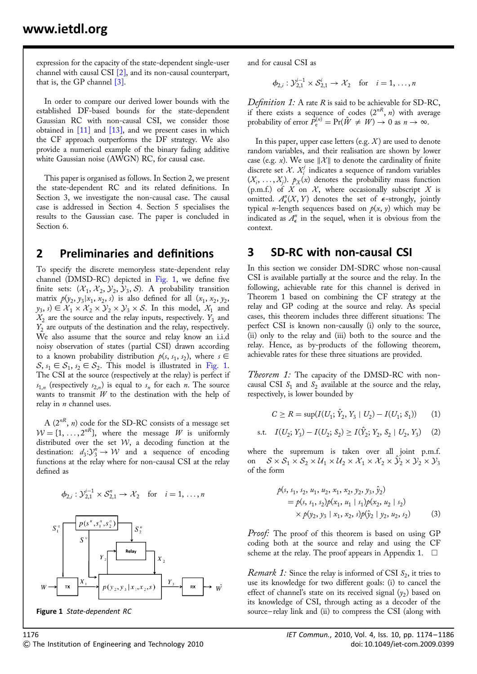expression for the capacity of the state-dependent single-user channel with causal CSI [2], and its non-causal counterpart, that is, the GP channel [3].

In order to compare our derived lower bounds with the established DF-based bounds for the state-dependent Gaussian RC with non-causal CSI, we consider those obtained in  $[11]$  and  $[13]$ , and we present cases in which the CF approach outperforms the DF strategy. We also provide a numerical example of the binary fading additive white Gaussian noise (AWGN) RC, for causal case.

This paper is organised as follows. In Section 2, we present the state-dependent RC and its related definitions. In Section 3, we investigate the non-causal case. The causal case is addressed in Section 4. Section 5 specialises the results to the Gaussian case. The paper is concluded in Section 6.

### 2 Preliminaries and definitions

To specify the discrete memoryless state-dependent relay channel (DMSD-RC) depicted in Fig. 1, we define five finite sets:  $(X_1, X_2, Y_2, Y_3, S)$ . A probability transition matrix  $p(y_2, y_3|x_1, x_2, s)$  is also defined for all  $(x_1, x_2, y_2,$  $(y_3, s) \in \mathcal{X}_1 \times \mathcal{X}_2 \times \mathcal{Y}_2 \times \mathcal{Y}_3 \times \mathcal{S}$ . In this model,  $X_1$  and  $X_2$  are the source and the relay inputs, respectively.  $Y_3$  and  $Y_2$  are outputs of the destination and the relay, respectively. We also assume that the source and relay know an i.i.d noisy observation of states (partial CSI) drawn according to a known probability distribution  $p(s, s_1, s_2)$ , where  $s \in$  $S, s_1 \in S_1, s_2 \in S_2$ . This model is illustrated in Fig. 1. The CSI at the source (respectively at the relay) is perfect if  $s_{1,n}$  (respectively  $s_{2,n}$ ) is equal to  $s_n$  for each *n*. The source wants to transmit  $W$  to the destination with the help of relay in  $n$  channel uses.

A  $(2^{nR}, n)$  code for the SD-RC consists of a message set  $W = \{1, \ldots, 2^{nR}\}\text{, where the message } W \text{ is uniformly}$ distributed over the set  $W$ , a decoding function at the destination:  $d_3: \mathcal{Y}_3^n \to \mathcal{W}$  and a sequence of encoding functions at the relay where for non-causal CSI at the relay defined as





and for causal CSI as

$$
\phi_{2,i}: \mathcal{Y}_{2,1}^{i-1} \times \mathcal{S}_{2,1}^{i} \to \mathcal{X}_2
$$
 for  $i = 1, ..., n$ 

Definition 1: A rate R is said to be achievable for SD-RC, if there exists a sequence of codes  $(2^{nR}, n)$  with average probability of error  $\hat{P}_{\rm e}^{(n)} = \Pr(\hat{W} \neq W) \rightarrow 0$  as  $n \rightarrow \infty$ .

In this paper, upper case letters (e.g.  $X$ ) are used to denote random variables, and their realisation are shown by lower case (e.g.  $x$ ). We use  $\|\mathcal{X}\|$  to denote the cardinality of finite discrete set X.  $X_i^j$  indicates a sequence of random variables  $(X_i, \ldots, X_i)$ .  $p_X(x)$  denotes the probability mass function (p.m.f.) of  $X$  on  $X$ , where occasionally subscript  $X$  is omitted.  $A_{\epsilon}^{n}(X, Y)$  denotes the set of  $\epsilon$ -strongly, jointly typical *n*-length sequences based on  $p(x, y)$  which may be indicated as  $A_{\epsilon}^{n}$  in the sequel, when it is obvious from the context.

### 3 SD-RC with non-causal CSI

In this section we consider DM-SDRC whose non-causal CSI is available partially at the source and the relay. In the following, achievable rate for this channel is derived in Theorem 1 based on combining the CF strategy at the relay and GP coding at the source and relay. As special cases, this theorem includes three different situations: The perfect CSI is known non-causally (i) only to the source, (ii) only to the relay and (iii) both to the source and the relay. Hence, as by-products of the following theorem, achievable rates for these three situations are provided.

*Theorem 1:* The capacity of the DMSD-RC with noncausal CSI  $S_1$  and  $S_2$  available at the source and the relay, respectively, is lower bounded by

$$
C \ge R = \sup(I(U_1; \hat{Y}_2, Y_3 \mid U_2) - I(U_1; S_1)) \tag{1}
$$

s.t. 
$$
I(U_2; Y_3) - I(U_2; S_2) \ge I(\hat{Y}_2; Y_2, S_2 | U_2, Y_3)
$$
 (2)

where the supremum is taken over all joint p.m.f. on  $S \times S_1 \times S_2 \times U_1 \times U_2 \times X_1 \times X_2 \times \hat{\mathcal{Y}}_2 \times \mathcal{Y}_2 \times \mathcal{Y}_3$ of the form

$$
p(s, s_1, s_2, u_1, u_2, x_1, x_2, y_2, y_3, \hat{y}_2)
$$
  
=  $p(s, s_1, s_2)p(x_1, u_1 | s_1)p(x_2, u_2 | s_2)$   
×  $p(y_2, y_3 | x_1, x_2, s)p(\hat{y}_2 | y_2, u_2, s_2)$  (3)

Proof: The proof of this theorem is based on using GP coding both at the source and relay and using the CF scheme at the relay. The proof appears in Appendix 1.  $\Box$ 

*Remark 1:* Since the relay is informed of CSI  $S_2$ , it tries to use its knowledge for two different goals: (i) to cancel the effect of channel's state on its received signal  $(y_2)$  based on its knowledge of CSI, through acting as a decoder of the Figure 1 State-dependent RC source– relay link and (ii) to compress the CSI (along with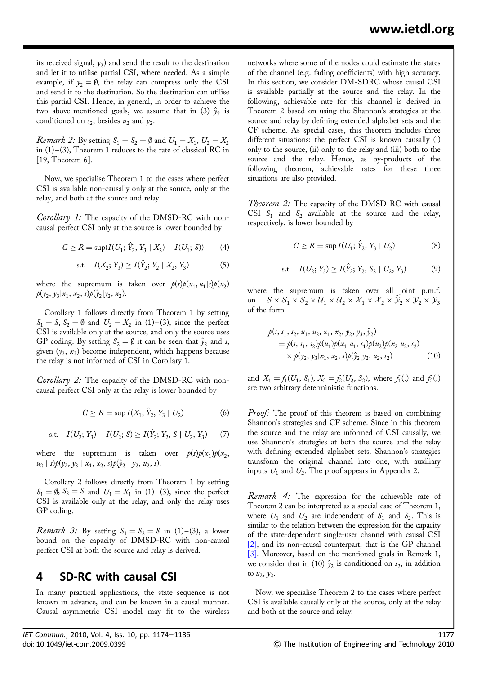its received signal,  $y_2$ ) and send the result to the destination and let it to utilise partial CSI, where needed. As a simple example, if  $y_2 = \emptyset$ , the relay can compress only the CSI and send it to the destination. So the destination can utilise this partial CSI. Hence, in general, in order to achieve the two above-mentioned goals, we assume that in (3)  $\hat{y}_2$  is conditioned on  $s_2$ , besides  $u_2$  and  $y_2$ .

*Remark 2:* By setting  $S_1 = S_2 = \emptyset$  and  $U_1 = X_1, U_2 = X_2$ in  $(1)$ – $(3)$ , Theorem 1 reduces to the rate of classical RC in [19, Theorem 6].

Now, we specialise Theorem 1 to the cases where perfect CSI is available non-causally only at the source, only at the relay, and both at the source and relay.

Corollary 1: The capacity of the DMSD-RC with noncausal perfect CSI only at the source is lower bounded by

$$
C \ge R = \sup(I(U_1; \hat{Y}_2, Y_3 | X_2) - I(U_1; S))
$$
 (4)

s.t. 
$$
I(X_2; Y_3) \ge I(\hat{Y}_2; Y_2 | X_2, Y_3)
$$
 (5)

where the supremum is taken over  $p(s)p(x_1, u_1|s)p(x_2)$  $p(y_2, y_3|x_1, x_2, s)p(\hat{y}_2|y_2, x_2).$ 

Corollary 1 follows directly from Theorem 1 by setting  $S_1 = S$ ,  $S_2 = \emptyset$  and  $U_2 = X_2$  in (1)–(3), since the perfect CSI is available only at the source, and only the source uses GP coding. By setting  $S_2 = \emptyset$  it can be seen that  $\hat{y}_2$  and s, given  $(y_2, x_2)$  become independent, which happens because the relay is not informed of CSI in Corollary 1.

Corollary 2: The capacity of the DMSD-RC with noncausal perfect CSI only at the relay is lower bounded by

$$
C \ge R = \sup I(X_1; \hat{Y}_2, Y_3 \mid U_2)
$$
 (6)

s.t. 
$$
I(U_2; Y_3) - I(U_2; S) \ge I(\hat{Y}_2; Y_2, S \mid U_2, Y_3)
$$
 (7)

where the supremum is taken over  $p(s)p(x_1)p(x_2)$ ,  $u_2$  | s) $p(y_2, y_3 | x_1, x_2, s)p(\hat{y}_2 | y_2, u_2, s).$ 

Corollary 2 follows directly from Theorem 1 by setting  $S_1 = \emptyset$ ,  $S_2 = S$  and  $U_1 = X_1$  in (1)–(3), since the perfect CSI is available only at the relay, and only the relay uses GP coding.

*Remark 3:* By setting  $S_1 = S_2 = S$  in (1)–(3), a lower bound on the capacity of DMSD-RC with non-causal perfect CSI at both the source and relay is derived.

### 4 SD-RC with causal CSI

In many practical applications, the state sequence is not known in advance, and can be known in a causal manner. Causal asymmetric CSI model may fit to the wireless

networks where some of the nodes could estimate the states of the channel (e.g. fading coefficients) with high accuracy. In this section, we consider DM-SDRC whose causal CSI is available partially at the source and the relay. In the following, achievable rate for this channel is derived in Theorem 2 based on using the Shannon's strategies at the source and relay by defining extended alphabet sets and the CF scheme. As special cases, this theorem includes three different situations: the perfect CSI is known causally (i) only to the source, (ii) only to the relay and (iii) both to the source and the relay. Hence, as by-products of the following theorem, achievable rates for these three situations are also provided.

Theorem 2: The capacity of the DMSD-RC with causal CSI  $S_1$  and  $S_2$  available at the source and the relay, respectively, is lower bounded by

$$
C \ge R = \sup I(U_1; \hat{Y}_2, Y_3 \mid U_2)
$$
 (8)

s.t. 
$$
I(U_2; Y_3) \ge I(\hat{Y}_2; Y_2, S_2 | U_2, Y_3)
$$
 (9)

where the supremum is taken over all joint p.m.f. on  $S \times S_1 \times S_2 \times U_1 \times U_2 \times X_1 \times X_2 \times \mathcal{Y}_2 \times \mathcal{Y}_2 \times \mathcal{Y}_3$ of the form

$$
p(s, s_1, s_2, u_1, u_2, x_1, x_2, y_2, y_3, \hat{y}_2)
$$
  
=  $p(s, s_1, s_2)p(u_1)p(x_1|u_1, s_1)p(u_2)p(x_2|u_2, s_2)$   
×  $p(y_2, y_3|x_1, x_2, s)p(\hat{y}_2|y_2, u_2, s_2)$  (10)

and  $X_1 = f_1(U_1, S_1), X_2 = f_2(U_2, S_2)$ , where  $f_1(.)$  and  $f_2(.)$ are two arbitrary deterministic functions.

Proof: The proof of this theorem is based on combining Shannon's strategies and CF scheme. Since in this theorem the source and the relay are informed of CSI causally, we use Shannon's strategies at both the source and the relay with defining extended alphabet sets. Shannon's strategies transform the original channel into one, with auxiliary inputs  $U_1$  and  $U_2$ . The proof appears in Appendix 2.  $\Box$ 

Remark 4: The expression for the achievable rate of Theorem 2 can be interpreted as a special case of Theorem 1, where  $U_1$  and  $U_2$  are independent of  $S_1$  and  $S_2$ . This is similar to the relation between the expression for the capacity of the state-dependent single-user channel with causal CSI [2], and its non-causal counterpart, that is the GP channel [3]. Moreover, based on the mentioned goals in Remark 1, we consider that in (10)  $\hat{y}_2$  is conditioned on  $s_2$ , in addition to  $u_2$ ,  $y_2$ .

Now, we specialise Theorem 2 to the cases where perfect CSI is available causally only at the source, only at the relay and both at the source and relay.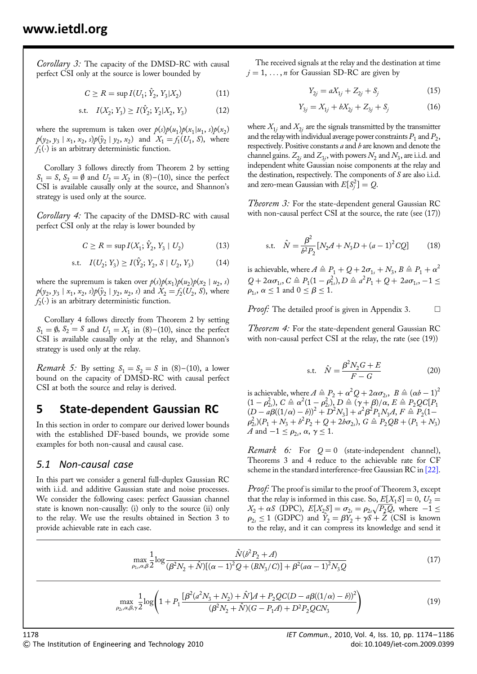Corollary 3: The capacity of the DMSD-RC with causal perfect CSI only at the source is lower bounded by

$$
C \ge R = \sup I(U_1; \hat{Y}_2, Y_3 | X_2)
$$
 (11)

s.t. 
$$
I(X_2; Y_3) \ge I(\hat{Y}_2; Y_2 | X_2, Y_3)
$$
 (12)

where the supremum is taken over  $p(s)p(u_1)p(x_1|u_1, s)p(x_2)$  $p(y_2, y_3 | x_1, x_2, s)p(\hat{y}_2 | y_2, x_2)$  and  $X_1 = f_1(U_1, S)$ , where  $f_1(\cdot)$  is an arbitrary deterministic function.

Corollary 3 follows directly from Theorem 2 by setting  $S_1 = S$ ,  $S_2 = \emptyset$  and  $U_2 = X_2$  in (8)–(10), since the perfect CSI is available causally only at the source, and Shannon's strategy is used only at the source.

Corollary 4: The capacity of the DMSD-RC with causal perfect CSI only at the relay is lower bounded by

$$
C \ge R = \sup I(X_1; \hat{Y}_2, Y_3 \mid U_2)
$$
 (13)

s.t. 
$$
I(U_2; Y_3) \ge I(\hat{Y}_2; Y_2, S \mid U_2, Y_3)
$$
 (14)

where the supremum is taken over  $p(s)p(x_1)p(u_2)p(x_2 \mid u_2, s)$  $p(y_2, y_3 | x_1, x_2, s)p(\hat{y}_2 | y_2, u_2, s)$  and  $X_2 = f_2(U_2, S)$ , where  $f_2(\cdot)$  is an arbitrary deterministic function.

Corollary 4 follows directly from Theorem 2 by setting  $S_1 = \emptyset$ ,  $S_2 = S$  and  $U_1 = X_1$  in (8)–(10), since the perfect CSI is available causally only at the relay, and Shannon's strategy is used only at the relay.

*Remark* 5: By setting  $S_1 = S_2 = S$  in (8)–(10), a lower bound on the capacity of DMSD-RC with causal perfect CSI at both the source and relay is derived.

### 5 State-dependent Gaussian RC

In this section in order to compare our derived lower bounds with the established DF-based bounds, we provide some examples for both non-causal and causal case.

#### 5.1 Non-causal case

In this part we consider a general full-duplex Gaussian RC with i.i.d. and additive Gaussian state and noise processes. We consider the following cases: perfect Gaussian channel state is known non-causally: (i) only to the source (ii) only to the relay. We use the results obtained in Section 3 to provide achievable rate in each case.

The received signals at the relay and the destination at time  $j = 1, \ldots, n$  for Gaussian SD-RC are given by

$$
Y_{2j} = aX_{1j} + Z_{2j} + S_j \tag{15}
$$

$$
Y_{3j} = X_{1j} + bX_{2j} + Z_{3j} + S_j \tag{16}
$$

where  $X_{1i}$  and  $X_{2i}$  are the signals transmitted by the transmitter and the relay with individual average power constraints  $P_1$  and  $P_2$ , respectively. Positive constants  $a$  and  $b$  are known and denote the channel gains.  $Z_{2i}$  and  $Z_{3i}$ , with powers  $N_2$  and  $N_3$ , are i.i.d. and independent white Gaussian noise components at the relay and the destination, respectively. The components of S are also i.i.d. and zero-mean Gaussian with  $E[S_j^2] = Q$ .

*Theorem 3:* For the state-dependent general Gaussian RC with non-causal perfect CSI at the source, the rate (see (17))

s.t. 
$$
\hat{N} = \frac{\beta^2}{b^2 P_2} [N_2 A + N_3 D + (a-1)^2 C Q] \tag{18}
$$

is achievable, where  $A \triangleq P_1 + Q_1 + 2\sigma_{1s} + N_3$ ,  $B \triangleq P_1 + \alpha^2$  $Q + 2\alpha \sigma_{1s}, C \triangleq P_1(1 - \rho_{1s}^2), D \triangleq a^2 P_1 + Q + 2a\sigma_{1s}, -1 \leq$  $\rho_{1s}$ ,  $\alpha \le 1$  and  $0 \le \beta \le 1$ .

*Proof:* The detailed proof is given in Appendix 3.  $\Box$ 

Theorem 4: For the state-dependent general Gaussian RC with non-causal perfect CSI at the relay, the rate (see (19))

$$
\text{s.t.} \quad \hat{N} = \frac{\beta^2 N_2 G + E}{F - G} \tag{20}
$$

is achievable, where  $A \triangleq P_2 + \alpha^2 Q + 2\alpha \sigma_2$ ,  $B \triangleq (\alpha b - 1)^2$  $(1-\rho_{2s}^2),\,C\triangleq\alpha^2(1-\rho_{2s}^2),\,D\triangleq(\gamma+\beta)/\alpha,\,E\triangleq P_2QC[P_1]$  $(D - a\beta((1/\alpha) - b))^2 + D^2N_3 + a^2\beta^2P_1N_3A, F \triangleq P_2(1-\alpha)$  $\rho_{2}^2$ ) $(P_1 + N_3 + b^2 P_2 + Q + 2b\sigma_{2}^2)$ ,  $G \triangleq P_2QB + (P_1 + N_3)$ A and  $-1 \leq \rho_{2s}$ ,  $\alpha, \gamma \leq 1$ .

*Remark 6*: For  $Q = 0$  (state-independent channel), Theorems 3 and 4 reduce to the achievable rate for CF scheme in the standard interference-free Gaussian RC in [22].

*Proof:* The proof is similar to the proof of Theorem 3, except that the relay is informed in this case. So,  $E[X_1S] = 0$ ,  $U_2 = V_1 \times S_1$  (DDC),  $E[Y, S] = \sqrt{D} \times \sqrt{D} \times \sqrt{D} \times \sqrt{D} \times \sqrt{D} \times \sqrt{D} \times \sqrt{D} \times \sqrt{D} \times \sqrt{D} \times \sqrt{D} \times \sqrt{D} \times \sqrt{D} \times \sqrt{D} \times \sqrt{D} \times \sqrt{D} \times \sqrt{D} \times \sqrt{D} \times \sqrt{D} \times \sqrt{D} \times \$  $X_2 + \alpha S$  (DPC),  $E[X_2S] = \sigma_{2s} = \rho_{2s}\sqrt{P_2Q}$ , where  $-1 \leq$  $\rho_{2s}^2 \le 1$  (GDPC) and  $\hat{Y}_2 = \beta \hat{Y}_2 + \gamma \hat{S} + \hat{Z}$  (CSI is known to the relay, and it can compress its knowledge and send it

$$
\max_{\rho_{1},\alpha,\beta} \frac{1}{2} \log \frac{\hat{N}(b^2 P_2 + A)}{(\beta^2 N_2 + \hat{N})[(\alpha - 1)^2 Q + (B N_3 / C)] + \beta^2 (\alpha \alpha - 1)^2 N_3 Q} \tag{17}
$$

$$
\max_{\rho_{2},\alpha,\beta,\gamma} \frac{1}{2} \log \left( 1 + P_1 \frac{[\beta^2(a^2N_3 + N_2) + \hat{N}]A + P_2QC(D - a\beta((1/\alpha) - b))^2}{(\beta^2N_2 + \hat{N})(G - P_1A) + D^2P_2QCN_3} \right)
$$
(19)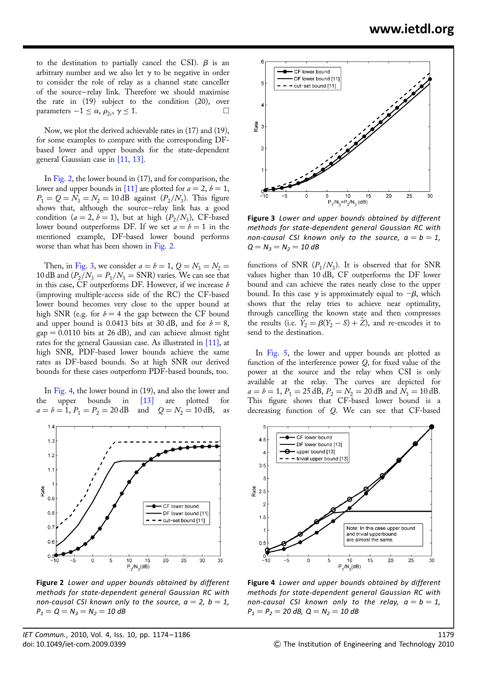to the destination to partially cancel the CSI).  $\beta$  is an arbitrary number and we also let  $\gamma$  to be negative in order to consider the role of relay as a channel state canceller of the source– relay link. Therefore we should maximise the rate in (19) subject to the condition (20), over parameters  $-1 \leq \alpha$ ,  $\rho_2$ ,  $\gamma \leq 1$ .

Now, we plot the derived achievable rates in (17) and (19), for some examples to compare with the corresponding DFbased lower and upper bounds for the state-dependent general Gaussian case in [11, 13].

In Fig. 2, the lower bound in (17), and for comparison, the lower and upper bounds in [11] are plotted for  $a = 2$ ,  $b = 1$ ,  $P_1 = Q = N_3 = N_2 = 10$  dB against  $(P_2/N_3)$ . This figure shows that, although the source-relay link has a good condition ( $a = 2$ ,  $b = 1$ ), but at high ( $P_2/N_2$ ), CF-based lower bound outperforms DF. If we set  $a = b = 1$  in the mentioned example, DF-based lower bound performs worse than what has been shown in Fig. 2.

Then, in Fig. 3, we consider  $a = b = 1$ ,  $Q = N_3 = N_2$ 10 dB and  $(P_2/N_3 = P_1/N_3 = SNR)$  varies. We can see that in this case, CF outperforms DF. However, if we increase  $b$ (improving multiple-access side of the RC) the CF-based lower bound becomes very close to the upper bound at high SNR (e.g. for  $b = 4$  the gap between the CF bound and upper bound is 0.0413 bits at 30 dB, and for  $b = 8$ ,  $gap = 0.0110$  bits at 26 dB), and can achieve almost tight rates for the general Gaussian case. As illustrated in [11], at high SNR, PDF-based lower bounds achieve the same rates as DF-based bounds. So at high SNR our derived bounds for these cases outperform PDF-based bounds, too.

In Fig. 4, the lower bound in (19), and also the lower and the upper bounds in [13] are plotted for  $a = b = 1, P_1 = P_2 = 20 \text{ dB}$  and  $Q = N_2 = 10 \text{ dB}$ , as



Figure 2 Lower and upper bounds obtained by different methods for state-dependent general Gaussian RC with non-causal CSI known only to the source,  $a = 2$ ,  $b = 1$ ,  $P_1 = Q = N_3 = N_2 = 10$  dB



Figure 3 Lower and upper bounds obtained by different methods for state-dependent general Gaussian RC with non-causal CSI known only to the source,  $a = b = 1$ ,  $Q = N_3 = N_2 = 10$  dB

functions of SNR  $(P_1/N_3)$ . It is observed that for SNR values higher than 10 dB, CF outperforms the DF lower bound and can achieve the rates nearly close to the upper bound. In this case  $\gamma$  is approximately equal to  $-\beta$ , which shows that the relay tries to achieve near optimality, through cancelling the known state and then compresses the results (i.e.  $\hat{Y}_2 = \beta(Y_2 - S) + \hat{Z}$ ), and re-encodes it to send to the destination.

In Fig. 5, the lower and upper bounds are plotted as function of the interference power Q, for fixed value of the power at the source and the relay when CSI is only available at the relay. The curves are depicted for  $a = b = 1, P_1 = 25 \text{ dB}, P_2 = N_2 = 20 \text{ dB} \text{ and } N_3 = 10 \text{ dB}.$ This figure shows that CF-based lower bound is a decreasing function of Q. We can see that CF-based



Figure 4 Lower and upper bounds obtained by different methods for state-dependent general Gaussian RC with non-causal CSI known only to the relay,  $a = b = 1$ ,  $P_1 = P_2 = 20$  dB,  $Q = N_2 = 10$  dB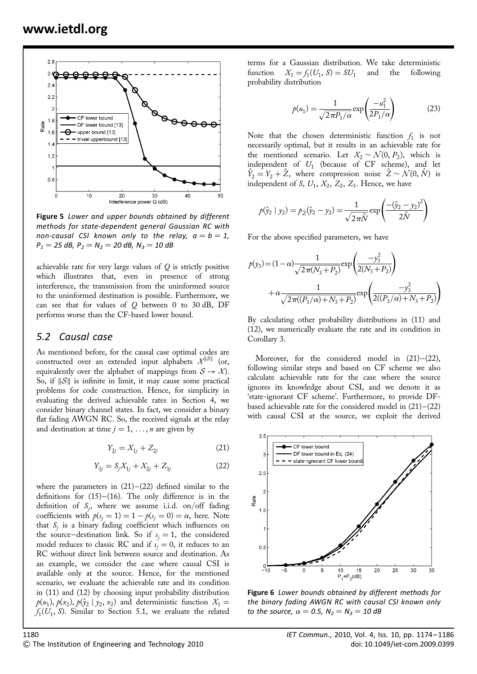

Figure 5 Lower and upper bounds obtained by different methods for state-dependent general Gaussian RC with non-causal CSI known only to the relay,  $a = b = 1$ ,  $P_1 = 25$  dB,  $P_2 = N_2 = 20$  dB,  $N_3 = 10$  dB

achievable rate for very large values of Q is strictly positive which illustrates that, even in presence of strong interference, the transmission from the uninformed source to the uninformed destination is possible. Furthermore, we can see that for values of Q between 0 to 30 dB, DF performs worse than the CF-based lower bound.

#### 5.2 Causal case

As mentioned before, for the causal case optimal codes are constructed over an extended input alphabets  $\mathcal{X}^{\|\mathcal{S}\|}$  (or, equivalently over the alphabet of mappings from  $S \to \mathcal{X}$ ). So, if  $\|\mathcal{S}\|$  is infinite in limit, it may cause some practical problems for code construction. Hence, for simplicity in evaluating the derived achievable rates in Section 4, we consider binary channel states. In fact, we consider a binary flat fading AWGN RC. So, the received signals at the relay and destination at time  $j = 1, \ldots, n$  are given by

$$
Y_{2j} = X_{1j} + Z_{2j} \tag{21}
$$

$$
Y_{3j} = S_j X_{1j} + X_{2j} + Z_{3j} \tag{22}
$$

where the parameters in  $(21)$ – $(22)$  defined similar to the definitions for  $(15)$ - $(16)$ . The only difference is in the definition of  $S_i$ , where we assume i.i.d. on/off fading coefficients with  $p(s_i = 1) = 1 - p(s_i = 0) = \alpha$ , here. Note that  $S_i$  is a binary fading coefficient which influences on the source–destination link. So if  $s_j = 1$ , the considered model reduces to classic RC and if  $s_i = 0$ , it reduces to an RC without direct link between source and destination. As an example, we consider the case where causal CSI is available only at the source. Hence, for the mentioned scenario, we evaluate the achievable rate and its condition in (11) and (12) by choosing input probability distribution  $p(u_1)$ ,  $p(x_2)$ ,  $p(\hat{y}_2 | y_2, x_2)$  and deterministic function  $X_1 =$  $f_1(U_1, S)$ . Similar to Section 5.1, we evaluate the related

terms for a Gaussian distribution. We take deterministic function  $X_1 = f_1(U_1, S) = SU_1$  and the following probability distribution

$$
p(u_1) = \frac{1}{\sqrt{2\pi P_1/\alpha}} \exp\left(\frac{-u_1^2}{2P_1/\alpha}\right)
$$
 (23)

Note that the chosen deterministic function  $f_1$  is not necessarily optimal, but it results in an achievable rate for the mentioned scenario. Let  $X_2 \sim \mathcal{N}(0, P_2)$ , which is independent of  $U_1$  (because of CF scheme), and let  $\hat{Y}_2 = Y_2 + \hat{Z}$ , where compression noise  $\hat{Z} \sim \mathcal{N} (0, \hat{N})$  is independent of S,  $U_1$ ,  $X_2$ ,  $Z_2$ ,  $Z_3$ . Hence, we have

$$
p(\hat{y}_2 | y_2) = p_{\hat{Z}}(\hat{y}_2 - y_2) = \frac{1}{\sqrt{2\pi\hat{N}}} \exp\left(\frac{-(\hat{y}_2 - y_2)^2}{2\hat{N}}\right)
$$

For the above specified parameters, we have

$$
p(y_3) = (1 - \alpha) \frac{1}{\sqrt{2\pi(N_3 + P_2)}} \exp\left(\frac{-y_3^2}{2(N_3 + P_2)}\right)
$$

$$
+ \alpha \frac{1}{\sqrt{2\pi((P_1/\alpha) + N_3 + P_2)}} \exp\left(\frac{-y_3^2}{2((P_1/\alpha) + N_3 + P_2)}\right)
$$

By calculating other probability distributions in (11) and (12), we numerically evaluate the rate and its condition in Corollary 3.

Moreover, for the considered model in  $(21)$  –  $(22)$ , following similar steps and based on CF scheme we also calculate achievable rate for the case where the source ignores its knowledge about CSI, and we denote it as 'state-ignorant CF scheme'. Furthermore, to provide DFbased achievable rate for the considered model in  $(21)$  –  $(22)$ with causal CSI at the source, we exploit the derived



Figure 6 Lower bounds obtained by different methods for the binary fading AWGN RC with causal CSI known only to the source,  $\alpha = 0.5$ ,  $N_2 = N_3 = 10$  dB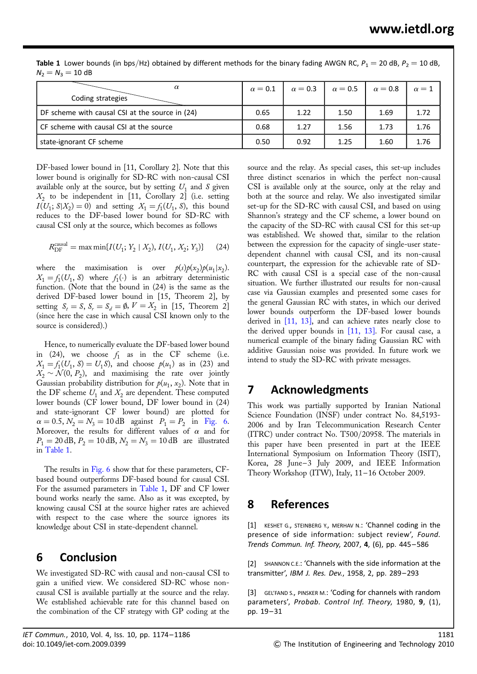| <b>Table 1</b> Lower bounds (in bps/Hz) obtained by different methods for the binary fading AWGN RC, $P_1 = 20$ dB, $P_2 = 10$ dB, |  |                                                                          |  |  |  |  |  |  |  |  |
|------------------------------------------------------------------------------------------------------------------------------------|--|--------------------------------------------------------------------------|--|--|--|--|--|--|--|--|
| $N_2 = N_3 = 10$ dB                                                                                                                |  |                                                                          |  |  |  |  |  |  |  |  |
|                                                                                                                                    |  | $\alpha = 0.1$ $\alpha = 0.3$ $\alpha = 0.5$ $\alpha = 0.8$ $\alpha = 1$ |  |  |  |  |  |  |  |  |
| Coding strategies                                                                                                                  |  |                                                                          |  |  |  |  |  |  |  |  |

| $\alpha$<br>Coding strategies                   |      |      | $\alpha = 0.1$ $\alpha = 0.3$ $\alpha = 0.5$ $\alpha = 0.8$ |      | $\alpha = 1$ |
|-------------------------------------------------|------|------|-------------------------------------------------------------|------|--------------|
|                                                 |      |      |                                                             |      |              |
| DF scheme with causal CSI at the source in (24) | 0.65 | 1.22 | 1.50                                                        | 1.69 | 1.72         |
| CF scheme with causal CSI at the source         | 0.68 | 1.27 | 1.56                                                        | 1.73 | 1.76         |
| state-ignorant CF scheme                        | 0.50 | 0.92 | 1.25                                                        | 1.60 | 1.76         |

DF-based lower bound in [11, Corollary 2]. Note that this lower bound is originally for SD-RC with non-causal CSI available only at the source, but by setting  $U_1$  and S given  $X_2$  to be independent in [11, Corollary 2] (i.e. setting  $I(U_1; S|X_2) = 0$  and setting  $X_1 = f_1(U_1, S)$ , this bound reduces to the DF-based lower bound for SD-RC with causal CSI only at the source, which becomes as follows

$$
R_{\rm DF}^{\rm causal} = \max \min \{ I(U_1; Y_2 \mid X_2), I(U_1, X_2; Y_3) \} \tag{24}
$$

where the maximisation is over  $p(s)p(x_2)p(u_1|x_2)$ .  $X_1 = f_1(U_1, S)$  where  $f_1(\cdot)$  is an arbitrary deterministic function. (Note that the bound in (24) is the same as the derived DF-based lower bound in [15, Theorem 2], by setting  $S_t = S$ ,  $S_r = S_d = \emptyset$ ,  $V = X_2$  in [15, Theorem 2] (since here the case in which causal CSI known only to the source is considered).)

Hence, to numerically evaluate the DF-based lower bound in (24), we choose  $f_1$  as in the CF scheme (i.e.  $X_1 = f_1(U_1, S) = U_1S$ , and choose  $p(u_1)$  as in (23) and  $X_2 \sim \mathcal{N}(0, P_2)$ , and maximising the rate over jointly Gaussian probability distribution for  $p(u_1, x_2)$ . Note that in the DF scheme  $U_1$  and  $X_2$  are dependent. These computed lower bounds (CF lower bound, DF lower bound in (24) and state-ignorant CF lower bound) are plotted for  $\alpha = 0.5, N_2 = N_3 = 10$  dB against  $P_1 = P_2$  in Fig. 6. Moreover, the results for different values of  $\alpha$  and for  $P_1 = 20$  dB,  $P_2 = 10$  dB,  $N_2 = N_3 = 10$  dB are illustrated in Table 1.

The results in Fig. 6 show that for these parameters, CFbased bound outperforms DF-based bound for causal CSI. For the assumed parameters in Table 1, DF and CF lower bound works nearly the same. Also as it was excepted, by knowing causal CSI at the source higher rates are achieved with respect to the case where the source ignores its knowledge about CSI in state-dependent channel.

## 6 Conclusion

We investigated SD-RC with causal and non-causal CSI to gain a unified view. We considered SD-RC whose noncausal CSI is available partially at the source and the relay. We established achievable rate for this channel based on the combination of the CF strategy with GP coding at the

source and the relay. As special cases, this set-up includes three distinct scenarios in which the perfect non-causal CSI is available only at the source, only at the relay and both at the source and relay. We also investigated similar set-up for the SD-RC with causal CSI, and based on using Shannon's strategy and the CF scheme, a lower bound on the capacity of the SD-RC with causal CSI for this set-up was established. We showed that, similar to the relation between the expression for the capacity of single-user statedependent channel with causal CSI, and its non-causal counterpart, the expression for the achievable rate of SD-RC with causal CSI is a special case of the non-causal situation. We further illustrated our results for non-causal case via Gaussian examples and presented some cases for the general Gaussian RC with states, in which our derived lower bounds outperform the DF-based lower bounds derived in [11, 13], and can achieve rates nearly close to the derived upper bounds in  $[11, 13]$ . For causal case, a numerical example of the binary fading Gaussian RC with additive Gaussian noise was provided. In future work we intend to study the SD-RC with private messages.

# 7 Acknowledgments

This work was partially supported by Iranian National Science Foundation (INSF) under contract No. 84,5193- 2006 and by Iran Telecommunication Research Center (ITRC) under contract No. T500/20958. The materials in this paper have been presented in part at the IEEE International Symposium on Information Theory (ISIT), Korea, 28 June-3 July 2009, and IEEE Information Theory Workshop (ITW), Italy, 11-16 October 2009.

# 8 References

[1] KESHET G., STEINBERG Y., MERHAV N.: 'Channel coding in the presence of side information: subject review', Found. Trends Commun. Inf. Theory, 2007, 4, (6), pp. 445– 586

[2] SHANNON C.E.: 'Channels with the side information at the transmitter', IBM J. Res. Dev., 1958, 2, pp. 289– 293

[3] GEL'FAND S., PINSKER M.: 'Coding for channels with random parameters', Probab. Control Inf. Theory, 1980, 9. (1). pp. 19– 31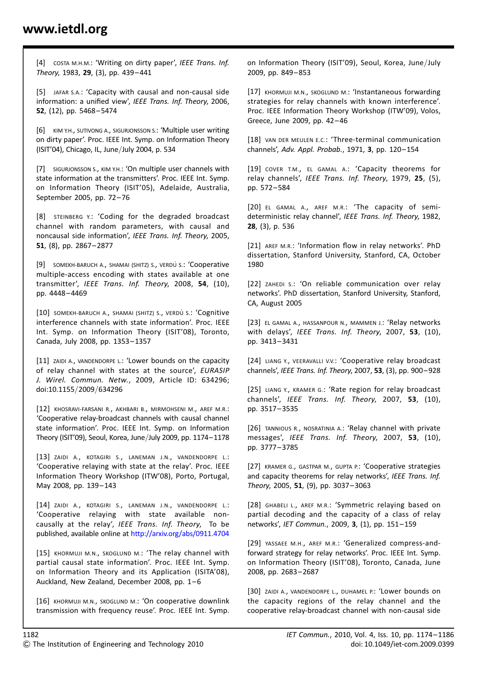# www.ietdl.org

[4] COSTA M.H.M.: 'Writing on dirty paper', IEEE Trans. Inf. Theory, 1983, 29, (3), pp. 439-441

[5] JAFAR S.A.: 'Capacity with causal and non-causal side information: a unified view', IEEE Trans. Inf. Theory, 2006, 52, (12), pp. 5468– 5474

[6] KIM Y.H., SUTIVONG A., SIGURJONSSON S.: 'Multiple user writing on dirty paper'. Proc. IEEE Int. Symp. on Information Theory (ISIT'04), Chicago, IL, June/July 2004, p. 534

[7] SIGURJONSSON S., KIM Y.H.: 'On multiple user channels with state information at the transmitters'. Proc. IEEE Int. Symp. on Information Theory (ISIT'05), Adelaide, Australia, September 2005, pp. 72– 76

[8] STEINBERG Y.: 'Coding for the degraded broadcast channel with random parameters, with causal and noncausal side information', IEEE Trans. Inf. Theory, 2005, 51, (8), pp. 2867– 2877

[9] SOMEKH-BARUCH A., SHAMAI (SHITZ) S., VERDÚ S.: 'Cooperative multiple-access encoding with states available at one transmitter', IEEE Trans. Inf. Theory, 2008, 54, (10), pp. 4448– 4469

[10] SOMEKH-BARUCH A., SHAMAI (SHITZ) S., VERDÚ S.: 'Cognitive interference channels with state information'. Proc. IEEE Int. Symp. on Information Theory (ISIT'08), Toronto, Canada, July 2008, pp. 1353– 1357

[11] ZAIDI A., VANDENDORPE L.: 'Lower bounds on the capacity of relay channel with states at the source', EURASIP J. Wirel. Commun. Netw., 2009, Article ID: 634296; doi:10.1155/2009/634296

[12] KHOSRAVI-FARSANI R., AKHBARI B., MIRMOHSENI M., AREF M.R.: 'Cooperative relay-broadcast channels with causal channel state information'. Proc. IEEE Int. Symp. on Information Theory (ISIT'09), Seoul, Korea, June/July 2009, pp. 1174–1178

[13] ZAIDI A., KOTAGIRI S., LANEMAN J.N., VANDENDORPE L.: 'Cooperative relaying with state at the relay'. Proc. IEEE Information Theory Workshop (ITW'08), Porto, Portugal, May 2008, pp. 139– 143

[14] ZAIDI A., KOTAGIRI S., LANEMAN J.N., VANDENDORPE L.: 'Cooperative relaying with state available noncausally at the relay', IEEE Trans. Inf. Theory, To be published, available online at http://arxiv.org/abs/0911.4704

[15] KHORMUJI M.N., SKOGLUND M.: 'The relay channel with partial causal state information'. Proc. IEEE Int. Symp. on Information Theory and its Application (ISITA'08), Auckland, New Zealand, December 2008, pp. 1-6

[16] KHORMUJI M.N., SKOGLUND M.: 'On cooperative downlink transmission with frequency reuse'. Proc. IEEE Int. Symp. on Information Theory (ISIT'09), Seoul, Korea, June/July 2009, pp. 849– 853

[17] KHORMUJI M.N., SKOGLUND M.: 'Instantaneous forwarding strategies for relay channels with known interference'. Proc. IEEE Information Theory Workshop (ITW'09), Volos, Greece, June 2009, pp. 42– 46

[18] VAN DER MEULEN E.C.: 'Three-terminal communication channels', Adv. Appl. Probab., 1971, 3, pp. 120-154

[19] COVER T.M., EL GAMAL A.: 'Capacity theorems for relay channels', IEEE Trans. Inf. Theory, 1979, 25, (5), pp. 572– 584

[20] EL GAMAL A., AREF M.R.: 'The capacity of semideterministic relay channel', IEEE Trans. Inf. Theory, 1982, 28, (3), p. 536

[21] AREF M.R.: 'Information flow in relay networks'. PhD dissertation, Stanford University, Stanford, CA, October 1980

[22] ZAHEDI S.: 'On reliable communication over relay networks'. PhD dissertation, Stanford University, Stanford, CA, August 2005

[23] EL GAMAL A., HASSANPOUR N., MAMMEN J.: 'Relay networks with delays', IEEE Trans. Inf. Theory, 2007, 53, (10), pp. 3413– 3431

[24] LIANG Y., VEERAVALLI V.V.: 'Cooperative relay broadcast channels', IEEE Trans. Inf. Theory, 2007, 53, (3), pp. 900– 928

[25] LIANG Y., KRAMER G.: 'Rate region for relay broadcast channels', IEEE Trans. Inf. Theory, 2007, 53, (10), pp. 3517– 3535

[26] TANNIOUS R., NOSRATINIA A.: 'Relay channel with private messages', IEEE Trans. Inf. Theory, 2007, 53, (10), pp. 3777– 3785

[27] KRAMER G., GASTPAR M., GUPTA P.: 'Cooperative strategies and capacity theorems for relay networks', IEEE Trans. Inf. Theory, 2005, 51, (9), pp. 3037-3063

[28] GHABELI L., AREF M.R.: 'Symmetric relaying based on partial decoding and the capacity of a class of relay networks', IET Commun., 2009, 3, (1), pp. 151– 159

[29] YASSAEE M.H., AREF M.R.: 'Generalized compress-andforward strategy for relay networks'. Proc. IEEE Int. Symp. on Information Theory (ISIT'08), Toronto, Canada, June 2008, pp. 2683– 2687

[30] ZAIDI A., VANDENDORPE L., DUHAMEL P.: 'Lower bounds on the capacity regions of the relay channel and the cooperative relay-broadcast channel with non-causal side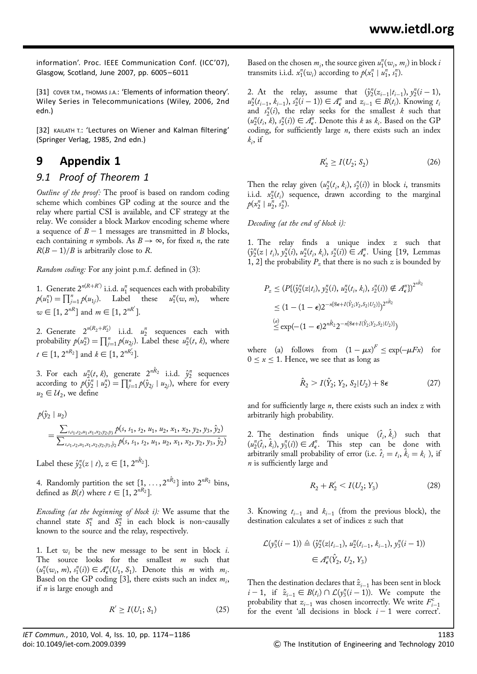information'. Proc. IEEE Communication Conf. (ICC'07), Glasgow, Scotland, June 2007, pp. 6005– 6011

[31] COVER T.M., THOMAS J.A.: 'Elements of information theory'. Wiley Series in Telecommunications (Wiley, 2006, 2nd edn.)

[32] KAILATH T.: 'Lectures on Wiener and Kalman filtering' (Springer Verlag, 1985, 2nd edn.)

# 9 Appendix 1

### 9.1 Proof of Theorem 1

Outline of the proof: The proof is based on random coding scheme which combines GP coding at the source and the relay where partial CSI is available, and CF strategy at the relay. We consider a block Markov encoding scheme where a sequence of  $B - 1$  messages are transmitted in B blocks, each containing *n* symbols. As  $B \to \infty$ , for fixed *n*, the rate  $R(B-1)/B$  is arbitrarily close to R.

Random coding: For any joint p.m.f. defined in (3):

1. Generate  $2^{n(R+R')}$  i.i.d.  $u_1^n$  sequences each with probability  $p(u_1^n) = \prod_{j=1}^n p(u_{1j}).$  Label these  $u_1^n(w, m)$ , where  $w \in [1, 2^{nR}]$  and  $m \in [1, 2^{nR'}]$ .

2. Generate  $2^{n(R_2+R'_2)}$  i.i.d.  $u_2^n$  sequences each with probability  $p(u_2^n) = \prod_{j=1}^n p(u_{2j})$ . Label these  $u_2^n(t, k)$ , where  $t \in [1, 2^{nR_2}]$  and  $k \in [1, 2^{nR'_2}].$ 

3. For each  $u_2^n(t, k)$ , generate  $2^{n\hat{R}_2}$  i.i.d.  $\hat{y}_2^n$  sequences according to  $p(\hat{y}_2^n | u_2^n) = \prod_{j=1}^n p(\hat{y}_{2j} | u_{2j})$ , where for every  $u_2 \in \mathcal{U}_2$ , we define

$$
p(\hat{y}_2 | u_2)
$$
  
= 
$$
\frac{\sum_{s,s_1,s_2,u_1,x_1,x_2,y_2,y_3} p(s,s_1,s_2, u_1, u_2, x_1, x_2, y_2, y_3, \hat{y}_2)}{\sum_{s,s_1,s_2,u_1,x_1,x_2,y_2,y_3,\hat{y}_2} p(s,s_1,s_2, u_1, u_2, x_1, x_2, y_2, y_3, \hat{y}_2)}
$$

Label these  $\hat{y}_2^n(z \mid t)$ ,  $z \in [1, 2^{n\hat{R}_2} ]$ .

4. Randomly partition the set  $\{1, \ldots, 2^{n\hat{R}_2}\}$  into  $2^{nR_2}$  bins, defined as  $B(t)$  where  $t \in [1, 2^{nR_2}]$ .

Encoding (at the beginning of block i): We assume that the channel state  $S_1^n$  and  $S_2^n$  in each block is non-causally known to the source and the relay, respectively.

1. Let  $w_i$  be the new message to be sent in block i. The source looks for the smallest  $m$  such that  $(u_1^n(w_i, m), s_1^n(i)) \in A_\epsilon^n(U_1, S_1)$ . Denote this m with  $m_i$ . Based on the GP coding [3], there exists such an index  $m_i$ , if  $n$  is large enough and

$$
R' \ge I(U_1; S_1) \tag{25}
$$

Based on the chosen  $m_i$ , the source given  $u_1^n(w_i, m_i)$  in block *i* transmits i.i.d.  $x_1^n(w_i)$  according to  $p(x_1^n | u_1^n, s_1^n)$ .

2. At the relay, assume that  $(\hat{y}_2^n(z_{i-1}|t_{i-1}), y_2^n(i-1),$  $u_2^n(t_{i-1}, k_{i-1}), s_2^n(i-1)) \in A_{\epsilon}^n$  and  $z_{i-1} \in B(t_i)$ . Knowing  $t_i$ and  $s_2^n(i)$ , the relay seeks for the smallest k such that  $(u_2^n(t_i, k), s_2^n(i)) \in A_\epsilon^n$ . Denote this k as  $k_i$ . Based on the GP coding, for sufficiently large  $n$ , there exists such an index  $k_i$ , if

$$
R_2' \ge I(U_2; S_2) \tag{26}
$$

Then the relay given  $(u_2^n(t_i, k_i), s_2^n(i))$  in block *i*, transmits i.i.d.  $x_2^n(t_i)$  sequence, drawn according to the marginal  $p(x_2^n | u_2^n, s_2^n)$ .

#### Decoding (at the end of block i):

1. The relay finds a unique index z such that  $(\hat{y}_2^n(z \mid t_i), y_2^n(i), u_2^n(t_i, k_i), s_2^n(i)) \in A_{\epsilon}^n$ . Using [19, Lemmas 1, 2] the probability  $P<sub>x</sub>$  that there is no such z is bounded by

$$
P_z \le (P\{(\hat{y}_2^n(z|t_i), y_2^n(i), u_2^n(t_i, k_i), s_2^n(i)) \notin A_{\epsilon}^n\})^{2^{n\hat{R}_2}}
$$
  
\n
$$
\le (1 - (1 - \epsilon)2^{-n[8\epsilon + I(\hat{Y}_2; Y_2, S_2 | U_2)]})^{2^{n\hat{R}_2}}
$$
  
\n
$$
\le \exp(-(1 - \epsilon)2^{n\hat{R}_2}2^{-n[8\epsilon + I(\hat{Y}_2; Y_2, S_2 | U_2)]})
$$

where (a) follows from  $(1 - \mu x)^F \leq \exp(-\mu Fx)$  for  $0 \le x \le 1$ . Hence, we see that as long as

$$
\hat{R}_2 > I(\hat{Y}_2; Y_2, S_2 | U_2) + 8\epsilon
$$
 (27)

and for sufficiently large  $n$ , there exists such an index  $z$  with arbitrarily high probability.

2. The destination finds unique  $(\hat{t}_i, \hat{k}_i)$  such that  $(u_2^n(\hat{t}_i, \hat{k}_i), y_3^n(i)) \in \mathcal{A}_{\epsilon}^n$ . This step can be done with arbitrarily small probability of error (i.e.  $\hat{t}_i = t_i$ ,  $\hat{k}_i = k_i$ ), if  $n$  is sufficiently large and

$$
R_2 + R'_2 < I(U_2; Y_3) \tag{28}
$$

3. Knowing  $t_{i-1}$  and  $k_{i-1}$  (from the previous block), the destination calculates a set of indices z such that

$$
\mathcal{L}(y_3^n(i-1)) \triangleq (\hat{y}_2^n(z|t_{i-1}), u_2^n(t_{i-1}, k_{i-1}), y_3^n(i-1))
$$
  

$$
\in A_{\epsilon}^n(\hat{Y}_2, U_2, Y_3)
$$

Then the destination declares that  $\hat{z}_{i-1}$  has been sent in block  $i - 1$ , if  $\hat{z}_{i-1} \in B(t_i) \cap \mathcal{L}(y_3^n(i - 1))$ . We compute the probability that  $z_{i-1}$  was chosen incorrectly. We write  $F_{i-1}^c$ for the event 'all decisions in block  $i - 1$  were correct'.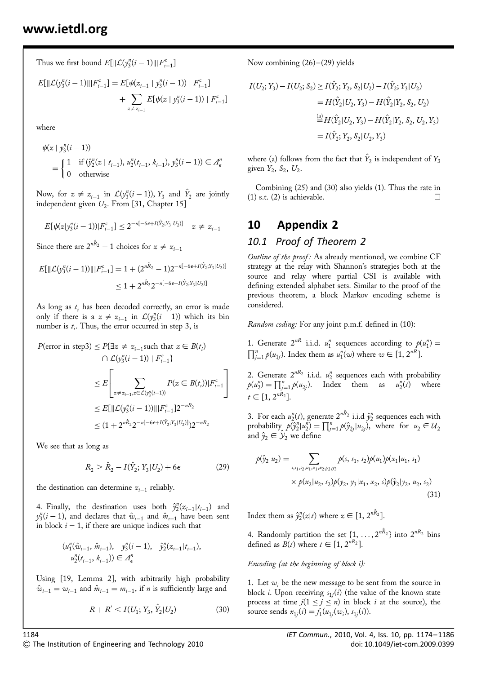Thus we first bound  $E[\|\mathcal{L}(y_3^n(i-1)\| | F_{i-1}^c])$ 

$$
E[\|\mathcal{L}(y_3^n(i-1)\||F_{i-1}^c] = E[\psi(z_{i-1} | y_3^n(i-1)) | F_{i-1}^c]
$$
  
+ 
$$
\sum_{z \neq z_{i-1}} E[\psi(z | y_3^n(i-1)) | F_{i-1}^c]
$$

where

$$
\psi(z \mid y_3^n(i-1))
$$
\n
$$
= \begin{cases}\n1 & \text{if } (\hat{y}_2^n(z \mid t_{i-1}), u_2^n(t_{i-1}, k_{i-1}), y_3^n(i-1)) \in \mathcal{A}_{\epsilon}^n \\
0 & \text{otherwise}\n\end{cases}
$$

Now, for  $z \neq z_{i-1}$  in  $\mathcal{L}(y_3^n(i-1)), Y_3$  and  $\hat{Y}_2$  are jointly independent given  $U_2$ . From [31, Chapter 15]

$$
E[\psi(z|y_3^n(i-1))|F_{i-1}^c] \le 2^{-n[-6\epsilon+I(\hat{Y}_2;Y_3|U_2)]} \quad z \ne z_{i-1}
$$

Since there are  $2^{n\hat{R}_2} - 1$  choices for  $z \neq z_{i-1}$ 

$$
E[\|\mathcal{L}(y_3^n(i-1))\||F_{i-1}^c] = 1 + (2^{n\hat{R}_2} - 1)2^{-n[-6\epsilon + I(\hat{Y}_2; Y_3 | U_2)]}
$$
  

$$
\leq 1 + 2^{n\hat{R}_2}2^{-n[-6\epsilon + I(\hat{Y}_2; Y_3 | U_2)]}
$$

As long as  $t_i$  has been decoded correctly, an error is made only if there is a  $z \neq z_{i-1}$  in  $\mathcal{L}(y_3^n(i-1))$  which its bin number is  $t_i$ . Thus, the error occurred in step 3, is

$$
P(\text{error in step3}) \le P\{\exists z \ne z_{i-1} \text{such that } z \in B(t_i) \\
\cap \mathcal{L}(y_3^n(i-1)) \mid F_{i-1}^c\} \\
\le E\left[\sum_{z \ne z_{i-1}, z \in \mathcal{L}(y_3^n(i-1))} P(z \in B(t_i)) \mid F_{i-1}^c\right] \\
\le E[\|\mathcal{L}(y_3^n(i-1))\| \mid F_{i-1}^c\|] 2^{-nR_2} \\
\le (1 + 2^{n\hat{R}_2} 2^{-n[-6\epsilon + I(\hat{Y}_2; Y_3 | U_2)]}) 2^{-nR_2}
$$

We see that as long as

$$
R_2 > \hat{R}_2 - I(\hat{Y}_2; Y_3 | U_2) + 6\epsilon
$$
 (29)

the destination can determine  $z_{i-1}$  reliably.

4. Finally, the destination uses both  $\hat{y}_2^n(z_{i-1}|t_{i-1})$  and  $y_3^n(i-1)$ , and declares that  $\hat{w}_{i-1}$  and  $\hat{m}_{i-1}$  have been sent in block  $i - 1$ , if there are unique indices such that

$$
(u_1^n(\hat{w}_{i-1}, \hat{m}_{i-1}), y_3^n(i-1), \hat{y}_2^n(z_{i-1}|t_{i-1}),
$$
  

$$
u_2^n(t_{i-1}, k_{i-1})) \in \mathcal{A}_{\epsilon}^n
$$

Using [19, Lemma 2], with arbitrarily high probability  $\hat{w}_{i-1} = w_{i-1}$  and  $\hat{m}_{i-1} = m_{i-1}$ , if *n* is sufficiently large and

$$
R + R' < I(U_1; Y_3, \hat{Y}_2 | U_2) \tag{30}
$$

Now combining  $(26)$ – $(29)$  yields

$$
I(U_2; Y_3) - I(U_2; S_2) \ge I(\hat{Y}_2; Y_2, S_2 | U_2) - I(\hat{Y}_2; Y_3 | U_2)
$$
  
=  $H(\hat{Y}_2 | U_2, Y_3) - H(\hat{Y}_2 | Y_2, S_2, U_2)$   

$$
\stackrel{(a)}{=} H(\hat{Y}_2 | U_2, Y_3) - H(\hat{Y}_2 | Y_2, S_2, U_2, Y_3)
$$
  
=  $I(\hat{Y}_2; Y_2, S_2 | U_2, Y_3)$ 

where (a) follows from the fact that  $\hat{Y}_2$  is independent of  $Y_3$ given  $Y_2$ ,  $S_2$ ,  $U_2$ .

Combining (25) and (30) also yields (1). Thus the rate in  $(1)$  s.t.  $(2)$  is achievable.

### 10 Appendix 2

#### 10.1 Proof of Theorem 2

Outline of the proof: As already mentioned, we combine CF strategy at the relay with Shannon's strategies both at the source and relay where partial CSI is available with defining extended alphabet sets. Similar to the proof of the previous theorem, a block Markov encoding scheme is considered.

Random coding: For any joint p.m.f. defined in (10):

1. Generate  $2^{nR}$  i.i.d.  $u_1^n$  sequences according to  $p(u_1^n) = \prod_{i=1}^n p(x_i)$  looks them as  $u_1^n(x_i)$  where  $x_i \in [1, 2^{nR}]$  $j=1 \neq n \neq 1$  p(u<sub>1j</sub>). Index them as  $u_1^n(w)$  where  $w \in [1, 2^{nR}]$ .

2. Generate  $2^{nR_2}$  i.i.d.  $u_2^n$  sequences each with probability  $p(u_2^n) = \prod_{j=1}^n p(u_{2j}).$  Index them as  $u_2^n(t)$  where  $t \in [1, 2^{nR_2}].$ 

3. For each  $u_2^n(t)$ , generate  $2^{n\hat{R}_2}$  i.i.d  $\hat{y}_2^n$  sequences each with probability  $p(\hat{y}_2^n | u_2^n) = \prod_{j=1}^n p(\hat{y}_{2j} | u_{2j})$ , where for  $u_2 \in U_2$ and  $\hat{y}_2 \in \hat{y}_2^1$  we define

$$
p(\hat{y}_2|u_2) = \sum_{s,s_1,s_2,u_1,x_1,x_2,y_2,y_3} p(s,s_1,s_2)p(u_1)p(x_1|u_1,s_1)
$$
  
 
$$
\times p(x_2|u_2,s_2)p(y_2,y_3|x_1,x_2,s)p(\hat{y}_2|y_2,u_2,s_2)
$$
(31)

Index them as  $\hat{y}_2^n(z|t)$  where  $z \in [1, 2^{n\hat{R}_2} ]$ .

4. Randomly partition the set  $\{1, \ldots, 2^{n\hat{R}_2}\}$  into  $2^{nR_2}$  bins defined as  $B(t)$  where  $t \in [1, 2^{nR_2}]$ .

Encoding (at the beginning of block i):

1. Let  $w_i$  be the new message to be sent from the source in block *i*. Upon receiving  $s_{1i}(i)$  (the value of the known state process at time  $j(1 \le j \le n)$  in block i at the source), the source sends  $x_{1i}(i) = f_1(u_{1i}(w_i), s_{1i}(i)).$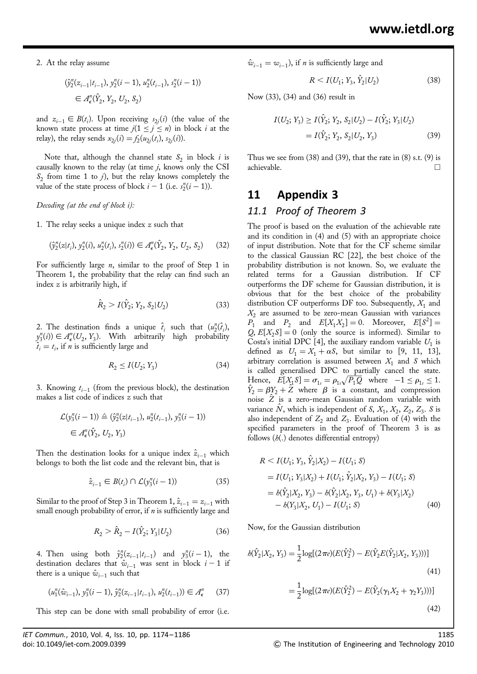2. At the relay assume

$$
\begin{aligned} \left(\hat{y}_2^n(z_{i-1}|t_{i-1}), y_2^n(i-1), u_2^n(t_{i-1}), s_2^n(i-1)\right) \\ &\in A_\epsilon^n(\hat{Y}_2, Y_2, U_2, S_2) \end{aligned}
$$

and  $z_{i-1} \in B(t_i)$ . Upon receiving  $s_{2i}(i)$  (the value of the known state process at time  $j(1 \le j \le n)$  in block i at the relay), the relay sends  $x_{2i}(i) = f_2(u_{2i}(t_i), s_{2i}(i)).$ 

Note that, although the channel state  $S_2$  in block *i* is causally known to the relay (at time  $j$ , knows only the CSI  $S_2$  from time 1 to j), but the relay knows completely the value of the state process of block  $i - 1$  (i.e.  $s_2^n(i - 1)$ ).

Decoding (at the end of block i):

1. The relay seeks a unique index  $z$  such that

$$
(\hat{y}_2^n(z|t_i), y_2^n(i), u_2^n(t_i), s_2^n(i)) \in A_{\epsilon}^n(\hat{Y}_2, Y_2, U_2, S_2) \tag{32}
$$

For sufficiently large  $n$ , similar to the proof of Step 1 in Theorem 1, the probability that the relay can find such an index z is arbitrarily high, if

$$
\hat{R}_2 > I(\hat{Y}_2; Y_2, S_2 | U_2)
$$
\n(33)

2. The destination finds a unique  $\hat{t}_i$  such that  $(u_2^n(\hat{t}_i))$ ,  $y_3^n(i)$ )  $\in A_e^n(U_2, Y_3)$ . With arbitrarily high probability  $\hat{t}_i = t_i$ , if *n* is sufficiently large and

$$
R_2 \le I(U_2; Y_3) \tag{34}
$$

3. Knowing  $t_{i-1}$  (from the previous block), the destination makes a list code of indices z such that

$$
\mathcal{L}(y_3^n(i-1)) \triangleq (\hat{y}_2^n(z|t_{i-1}), u_2^n(t_{i-1}), y_3^n(i-1))
$$
  

$$
\in A_{\epsilon}^n(\hat{Y}_2, U_2, Y_3)
$$

Then the destination looks for a unique index  $\hat{z}_{i-1}$  which belongs to both the list code and the relevant bin, that is

$$
\hat{z}_{i-1} \in B(t_i) \cap \mathcal{L}(y_3^n(i-1)) \tag{35}
$$

Similar to the proof of Step 3 in Theorem 1,  $\hat{z}_{i-1} = z_{i-1}$  with small enough probability of error, if  $n$  is sufficiently large and

$$
R_2 > \hat{R}_2 - I(\hat{Y}_2; Y_3 | U_2)
$$
 (36)

4. Then using both  $\hat{y}_2^n(z_{i-1}|t_{i-1})$  and  $y_3^n(i-1)$ , the destination declares that  $\hat{w}_{i-1}$  was sent in block  $i - 1$  if there is a unique  $\hat{w}_{i-1}$  such that

$$
(u_1^n(\hat{w}_{i-1}), y_3^n(i-1), \hat{y}_2^n(z_{i-1}|t_{i-1}), u_2^n(t_{i-1})) \in A_{\epsilon}^n \quad (37)
$$

This step can be done with small probability of error (i.e.

 $\hat{w}_{i-1} = w_{i-1}$ , if *n* is sufficiently large and

$$
R < I(U_1; Y_3, \hat{Y}_2 | U_2) \tag{38}
$$

Now (33), (34) and (36) result in

$$
I(U_2; Y_3) \ge I(\hat{Y}_2; Y_2, S_2 | U_2) - I(\hat{Y}_2; Y_3 | U_2)
$$
  
=  $I(\hat{Y}_2; Y_2, S_2 | U_2, Y_3)$  (39)

Thus we see from  $(38)$  and  $(39)$ , that the rate in  $(8)$  s.t.  $(9)$  is achievable.

### 11 Appendix 3

#### 11.1 Proof of Theorem 3

The proof is based on the evaluation of the achievable rate and its condition in (4) and (5) with an appropriate choice of input distribution. Note that for the CF scheme similar to the classical Gaussian RC [22], the best choice of the probability distribution is not known. So, we evaluate the related terms for a Gaussian distribution. If CF outperforms the DF scheme for Gaussian distribution, it is obvious that for the best choice of the probability distribution CF outperforms DF too. Subsequently,  $X_1$  and  $X_2$  are assumed to be zero-mean Gaussian with variances  $P_1$  and  $P_2$  and  $E[X_1X_2] = 0$ . Moreover,  $E[S^2] =$  $Q, E[X_2S] = 0$  (only the source is informed). Similar to Costa's initial DPC [4], the auxiliary random variable  $U_1$  is defined as  $U_1 = X_1 + \alpha S$ , but similar to [9, 11, 13], arbitrary correlation is assumed between  $X_1$  and S which is called generalised DPC to partially cancel the state. Hence,  $E[X_1S] = \sigma_{1s} = \rho_{1s}\sqrt{P_1Q}$  where  $-1 \le \rho_{1s} \le 1$ .  $\hat{Y}_2 = \beta X_2 + \hat{Z}$  where  $\beta$  is a constant, and compression noise  $\hat{Z}$  is a zero-mean Gaussian random variable with variance  $N$ , which is independent of S,  $X_1, X_2, Z_2, Z_3$ . S is also independent of  $Z_2$  and  $Z_3$ . Evaluation of (4) with the specified parameters in the proof of Theorem 3 is as follows  $(h(.)$  denotes differential entropy)

$$
R < I(U_1; Y_3, \hat{Y}_2 | X_2) - I(U_1; S) \\
= I(U_1; Y_3 | X_2) + I(U_1; \hat{Y}_2 | X_2, Y_3) - I(U_1; S) \\
= b(\hat{Y}_2 | X_2, Y_3) - b(\hat{Y}_2 | X_2, Y_3, U_1) + b(Y_3 | X_2) \\
- b(Y_3 | X_2, U_1) - I(U_1; S)\n\tag{40}
$$

Now, for the Gaussian distribution

$$
h(\hat{Y}_2|X_2, Y_3) = \frac{1}{2} \log[(2\pi e)(E(\hat{Y}_2^2) - E(\hat{Y}_2 E(\hat{Y}_2|X_2, Y_3)))]
$$
\n
$$
= \frac{1}{2} \log[(2\pi e)(E(\hat{Y}_2^2) - E(\hat{Y}_2(\gamma_1 X_2 + \gamma_2 Y_3)))]
$$
\n(41)\n(42)